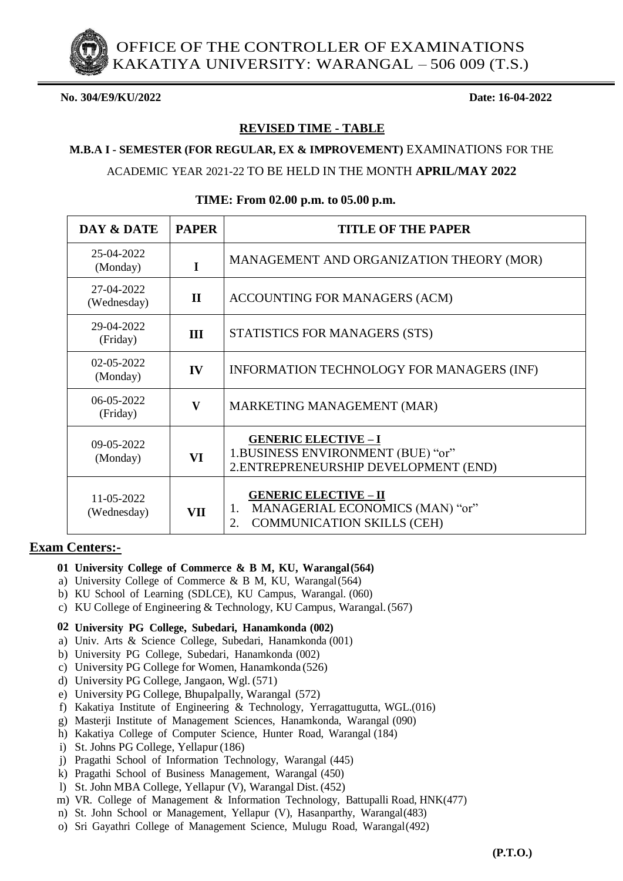OFFICE OF THE CONTROLLER OF EXAMINATIONS KAKATIYA UNIVERSITY: WARANGAL – 506 009 (T.S.)

**No. 304/E9/KU/2022 Date: 16-04-2022**

# **REVISED TIME - TABLE**

## **M.B.A I - SEMESTER (FOR REGULAR, EX & IMPROVEMENT)** EXAMINATIONS FOR THE

ACADEMIC YEAR 2021-22 TO BE HELD IN THE MONTH **APRIL/MAY 2022**

| DAY & DATE                | <b>PAPER</b>            | <b>TITLE OF THE PAPER</b>                                                                                        |
|---------------------------|-------------------------|------------------------------------------------------------------------------------------------------------------|
| 25-04-2022<br>(Monday)    | I                       | MANAGEMENT AND ORGANIZATION THEORY (MOR)                                                                         |
| 27-04-2022<br>(Wednesday) | $\mathbf{I}$            | ACCOUNTING FOR MANAGERS (ACM)                                                                                    |
| 29-04-2022<br>(Friday)    | III                     | STATISTICS FOR MANAGERS (STS)                                                                                    |
| 02-05-2022<br>(Monday)    | IV                      | INFORMATION TECHNOLOGY FOR MANAGERS (INF)                                                                        |
| 06-05-2022<br>(Friday)    | $\overline{\mathbf{V}}$ | MARKETING MANAGEMENT (MAR)                                                                                       |
| 09-05-2022<br>(Monday)    | VI                      | <b>GENERIC ELECTIVE - I</b><br>1.BUSINESS ENVIRONMENT (BUE) "or"<br>2.ENTREPRENEURSHIP DEVELOPMENT (END)         |
| 11-05-2022<br>(Wednesday) | VII                     | <b>GENERIC ELECTIVE - II</b><br>MANAGERIAL ECONOMICS (MAN) "or"<br>1.<br><b>COMMUNICATION SKILLS (CEH)</b><br>2. |

## **TIME: From 02.00 p.m. to 05.00 p.m.**

# **Exam Centers:-**

- **01 University College of Commerce & B M, KU, Warangal(564)**
- a) University College of Commerce & B M, KU, Warangal(564)
- b) KU School of Learning (SDLCE), KU Campus, Warangal. (060)
- c) KU College of Engineering & Technology, KU Campus, Warangal.(567)

#### **02 University PG College, Subedari, Hanamkonda (002)**

- a) Univ. Arts & Science College, Subedari, Hanamkonda (001)
- b) University PG College, Subedari, Hanamkonda (002)
- c) University PG College for Women, Hanamkonda (526)
- d) University PG College, Jangaon, Wgl. (571)
- e) University PG College, Bhupalpally, Warangal (572)
- f) Kakatiya Institute of Engineering & Technology, Yerragattugutta, WGL.(016)
- g) Masterji Institute of Management Sciences, Hanamkonda, Warangal (090)
- h) Kakatiya College of Computer Science, Hunter Road, Warangal (184)
- i) St. Johns PG College, Yellapur (186)
- j) Pragathi School of Information Technology, Warangal (445)
- k) Pragathi School of Business Management, Warangal (450)
- l) St. John MBA College, Yellapur (V), Warangal Dist.(452)
- m) VR. College of Management & Information Technology, Battupalli Road, HNK(477)
- n) St. John School or Management, Yellapur (V), Hasanparthy, Warangal(483)
- o) Sri Gayathri College of Management Science, Mulugu Road, Warangal(492)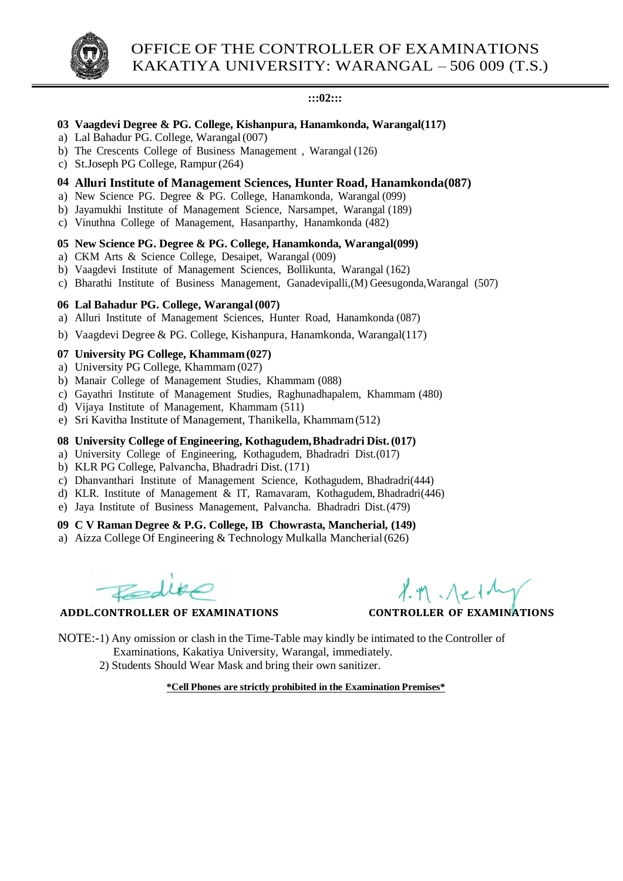### **:::02:::**

# **03 Vaagdevi Degree & PG. College, Kishanpura, Hanamkonda, Warangal(117)**

- a) Lal Bahadur PG. College, Warangal (007)
- b) The Crescents College of Business Management , Warangal (126)
- c) St.Joseph PG College, Rampur(264)

# **04 Alluri Institute of Management Sciences, Hunter Road, Hanamkonda(087)**

- a) New Science PG. Degree  $\&$  PG. College, Hanamkonda, Warangal (099)
- b) Jayamukhi Institute of Management Science, Narsampet, Warangal (189)
- c) Vinuthna College of Management, Hasanparthy, Hanamkonda (482)

# **05 New Science PG. Degree & PG. College, Hanamkonda, Warangal(099)**

- a) CKM Arts & Science College, Desaipet, Warangal (009)
- b) Vaagdevi Institute of Management Sciences, Bollikunta, Warangal (162)
- c) Bharathi Institute of Business Management, Ganadevipalli,(M) Geesugonda,Warangal (507)

# **06 Lal Bahadur PG. College, Warangal(007)**

- a) Alluri Institute of Management Sciences, Hunter Road, Hanamkonda (087)
- b) Vaagdevi Degree & PG. College, Kishanpura, Hanamkonda, Warangal(117)

# **07 University PG College, Khammam(027)**

- a) University PG College, Khammam(027)
- b) Manair College of Management Studies, Khammam (088)
- c) Gayathri Institute of Management Studies, Raghunadhapalem, Khammam (480)
- d) Vijaya Institute of Management, Khammam (511)
- e) Sri Kavitha Institute of Management, Thanikella, Khammam(512)

# **08 University College of Engineering, Kothagudem,Bhadradri Dist.(017)**

- a) University College of Engineering, Kothagudem, Bhadradri Dist.(017)
- b) KLR PG College, Palvancha, Bhadradri Dist.(171)
- c) Dhanvanthari Institute of Management Science, Kothagudem, Bhadradri(444)
- d) KLR. Institute of Management & IT, Ramavaram, Kothagudem, Bhadradri(446)
- e) Jaya Institute of Business Management, Palvancha. Bhadradri Dist.(479)

## **09 C V Raman Degree & P.G. College, IB Chowrasta, Mancherial, (149)**

a) Aizza College Of Engineering & Technology Mulkalla Mancherial(626)

 **ADDL.CONTROLLER OF EXAMINATIONS CONTROLLER OF EXAMINATIONS**

- NOTE:-1) Any omission or clash in the Time-Table may kindly be intimated to the Controller of Examinations, Kakatiya University, Warangal, immediately.
	- 2) Students Should Wear Mask and bring their own sanitizer.

**\*Cell Phones are strictly prohibited in the Examination Premises\***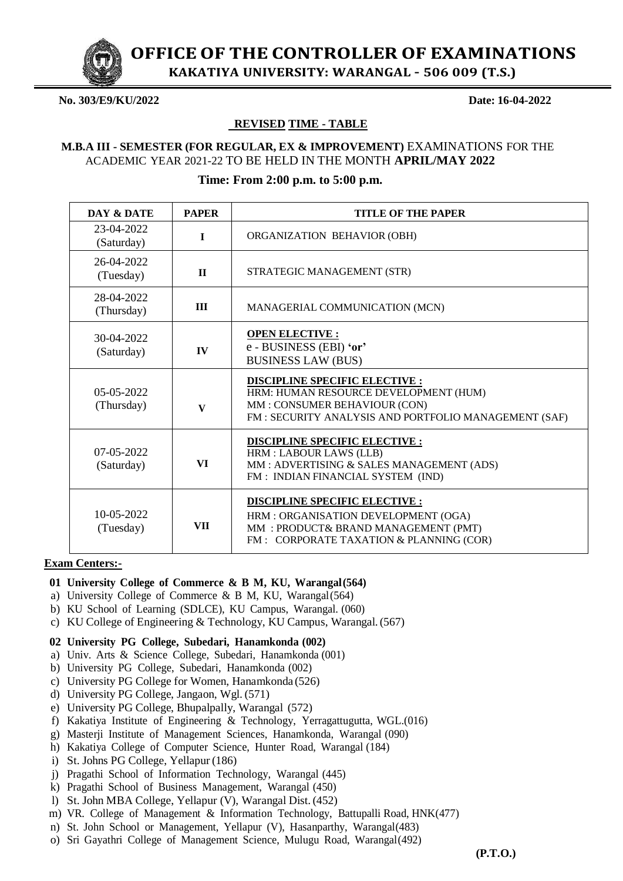

**OFFICEOF THE CONTROLLER OF EXAMINATIONS**

**KAKATIYA UNIVERSITY: WARANGAL – 506 009 (T.S.)**

#### **No. 303/E9/KU/2022 Date: 16-04-2022**

#### **REVISED TIME - TABLE**

## **M.B.A III - SEMESTER (FOR REGULAR, EX & IMPROVEMENT)** EXAMINATIONS FOR THE ACADEMIC YEAR 2021-22 TO BE HELD IN THE MONTH **APRIL/MAY 2022**

## **Time: From 2:00 p.m. to 5:00 p.m.**

| DAY & DATE                 | <b>PAPER</b> | <b>TITLE OF THE PAPER</b>                                                                                                                                             |
|----------------------------|--------------|-----------------------------------------------------------------------------------------------------------------------------------------------------------------------|
| 23-04-2022<br>(Saturday)   | $\mathbf I$  | ORGANIZATION BEHAVIOR (OBH)                                                                                                                                           |
| 26-04-2022<br>(Tuesday)    | $\mathbf{H}$ | STRATEGIC MANAGEMENT (STR)                                                                                                                                            |
| 28-04-2022<br>(Thursday)   | III          | MANAGERIAL COMMUNICATION (MCN)                                                                                                                                        |
| 30-04-2022<br>(Saturday)   | IV           | <b>OPEN ELECTIVE:</b><br>e - BUSINESS (EBI) 'or'<br><b>BUSINESS LAW (BUS)</b>                                                                                         |
| $05-05-2022$<br>(Thursday) | $\mathbf{V}$ | <b>DISCIPLINE SPECIFIC ELECTIVE:</b><br>HRM: HUMAN RESOURCE DEVELOPMENT (HUM)<br>MM: CONSUMER BEHAVIOUR (CON)<br>FM: SECURITY ANALYSIS AND PORTFOLIO MANAGEMENT (SAF) |
| $07-05-2022$<br>(Saturday) | VI           | DISCIPLINE SPECIFIC ELECTIVE :<br>HRM : LABOUR LAWS (LLB)<br>MM: ADVERTISING & SALES MANAGEMENT (ADS)<br>FM: INDIAN FINANCIAL SYSTEM (IND)                            |
| 10-05-2022<br>(Tuesday)    | <b>VII</b>   | <b>DISCIPLINE SPECIFIC ELECTIVE:</b><br>HRM: ORGANISATION DEVELOPMENT (OGA)<br>MM: PRODUCT& BRAND MANAGEMENT (PMT)<br>FM: CORPORATE TAXATION & PLANNING (COR)         |

#### **Exam Centers:-**

#### **01 University College of Commerce & B M, KU, Warangal(564)**

- a) University College of Commerce & B M, KU, Warangal(564)
- b) KU School of Learning (SDLCE), KU Campus, Warangal. (060)
- c) KU College of Engineering & Technology, KU Campus, Warangal.(567)

#### **02 University PG College, Subedari, Hanamkonda (002)**

- a) Univ. Arts & Science College, Subedari, Hanamkonda (001)
- b) University PG College, Subedari, Hanamkonda (002)
- c) University PG College for Women, Hanamkonda (526)
- d) University PG College, Jangaon, Wgl. (571)
- e) University PG College, Bhupalpally, Warangal (572)
- f) Kakatiya Institute of Engineering & Technology, Yerragattugutta, WGL.(016)
- g) Masterji Institute of Management Sciences, Hanamkonda, Warangal (090)
- h) Kakatiya College of Computer Science, Hunter Road, Warangal (184)
- i) St. Johns PG College, Yellapur (186)
- j) Pragathi School of Information Technology, Warangal (445)
- k) Pragathi School of Business Management, Warangal (450)
- l) St. John MBA College, Yellapur (V), Warangal Dist.(452)
- m) VR. College of Management & Information Technology, Battupalli Road, HNK(477)
- n) St. John School or Management, Yellapur (V), Hasanparthy, Warangal(483)
- o) Sri Gayathri College of Management Science, Mulugu Road, Warangal(492)